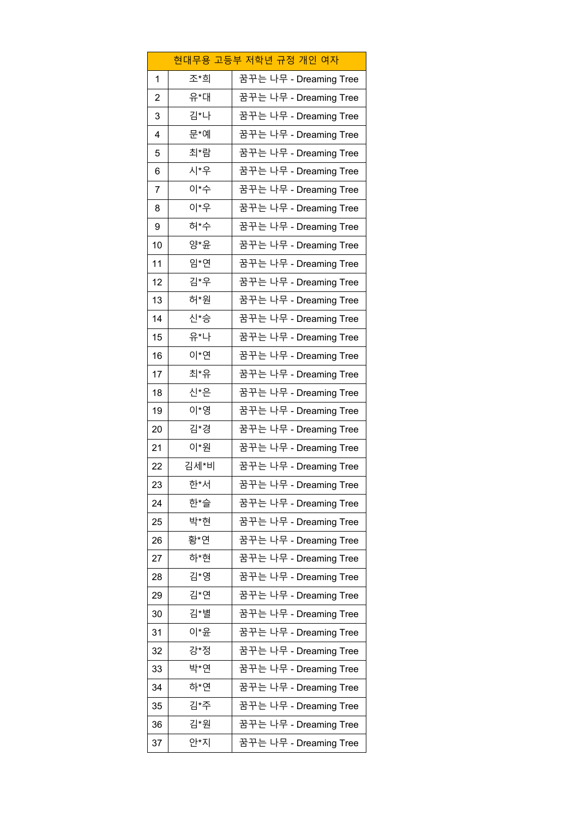|              |      | 현대무용 고등부 저학년 규정 개인 여자  |
|--------------|------|------------------------|
| $\mathbf{1}$ | 조*희  | 꿈꾸는 나무 - Dreaming Tree |
| 2            | 유*대  | 꿈꾸는 나무 - Dreaming Tree |
| 3            | 김*나  | 꿈꾸는 나무 - Dreaming Tree |
| 4            | 문*예  | 꿈꾸는 나무 - Dreaming Tree |
| 5            | 최*람  | 꿈꾸는 나무 - Dreaming Tree |
| 6            | 시*우  | 꿈꾸는 나무 - Dreaming Tree |
| 7            | 이*수  | 꿈꾸는 나무 - Dreaming Tree |
| 8            | 이*우  | 꿈꾸는 나무 - Dreaming Tree |
| 9            | 허*수  | 꿈꾸는 나무 - Dreaming Tree |
| 10           | 양*윤  | 꿈꾸는 나무 - Dreaming Tree |
| 11           | 임*연  | 꿈꾸는 나무 - Dreaming Tree |
| 12           | 김*우  | 꿈꾸는 나무 - Dreaming Tree |
| 13           | 허*원  | 꿈꾸는 나무 - Dreaming Tree |
| 14           | 신*승  | 꿈꾸는 나무 - Dreaming Tree |
| 15           | 유*나  | 꿈꾸는 나무 - Dreaming Tree |
| 16           | 이*연  | 꿈꾸는 나무 - Dreaming Tree |
| 17           | 최*유  | 꿈꾸는 나무 - Dreaming Tree |
| 18           | 신*은  | 꿈꾸는 나무 - Dreaming Tree |
| 19           | 이*영  | 꿈꾸는 나무 - Dreaming Tree |
| 20           | 김*경  | 꿈꾸는 나무 - Dreaming Tree |
| 21           | 이*원  | 꿈꾸는 나무 - Dreaming Tree |
| 22           | 김세*비 | 꿈꾸는 나무 - Dreaming Tree |
| 23           | 하*서  | 꿈꾸는 나무 - Dreaming Tree |
| 24           | 한*슬  | 꿈꾸는 나무 - Dreaming Tree |
| 25           | 박*현  | 꿈꾸는 나무 - Dreaming Tree |
| 26           | 황*연  | 꿈꾸는 나무 - Dreaming Tree |
| 27           | 하*현  | 꿈꾸는 나무 - Dreaming Tree |
| 28           | 김*영  | 꿈꾸는 나무 - Dreaming Tree |
| 29           | 김*연  | 꿈꾸는 나무 - Dreaming Tree |
| 30           | 김*별  | 꿈꾸는 나무 - Dreaming Tree |
| 31           | 이*윤  | 꿈꾸는 나무 - Dreaming Tree |
| 32           | 강*정  | 꿈꾸는 나무 - Dreaming Tree |
| 33           | 박*연  | 꿈꾸는 나무 - Dreaming Tree |
| 34           | 하*연  | 꿈꾸는 나무 - Dreaming Tree |
| 35           | 김*주  | 꿈꾸는 나무 - Dreaming Tree |
| 36           | 김*원  | 꿈꾸는 나무 - Dreaming Tree |
| 37           | 안*지  | 꿈꾸는 나무 - Dreaming Tree |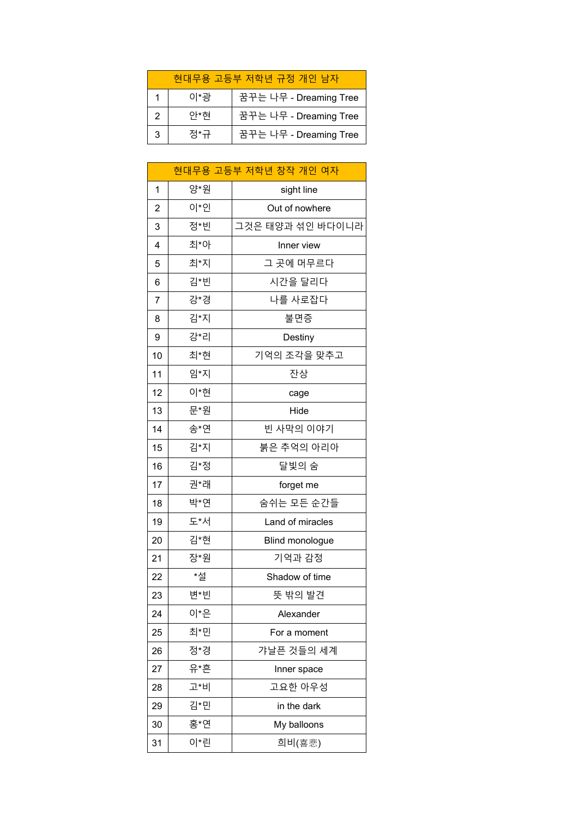| 현대무용 고등부 저학년 규정 개인 남자 |     |                        |
|-----------------------|-----|------------------------|
|                       | 이*광 | 꿈꾸는 나무 - Dreaming Tree |
|                       | 아*현 | 꿈꾸는 나무 - Dreaming Tree |
|                       | 젓*규 | 꿈꾸는 나무 - Dreaming Tree |

|                |     | 현대무용 고등부 저학년 창작 개인 여자 |
|----------------|-----|-----------------------|
| 1              | 양*원 | sight line            |
| $\overline{c}$ | 이*인 | Out of nowhere        |
| 3              | 정*빈 | 그것은 태양과 섞인 바다이니라      |
| $\overline{4}$ | 최*아 | Inner view            |
| 5              | 최*지 | 그 곳에 머무르다             |
| 6              | 김*빈 | 시간을 달리다               |
| 7              | 강*경 | 나를 사로잡다               |
| 8              | 김*지 | 불면증                   |
| 9              | 강*리 | Destiny               |
| 10             | 최*현 | 기억의 조각을 맞추고           |
| 11             | 임*지 | 잔상                    |
| 12             | 이*현 | cage                  |
| 13             | 문*원 | Hide                  |
| 14             | 송*연 | 빈 사막의 이야기             |
| 15             | 김*지 | 붉은 추억의 아리아            |
| 16             | 김*정 | 달빛의 숨                 |
| 17             | 권*래 | forget me             |
| 18             | 박*연 | 숨쉬는 모든 순간들            |
| 19             | 도*서 | Land of miracles      |
| 20             | 김*현 | Blind monologue       |
| 21             | 장*원 | 기억과 감정                |
| 22             | *설  | Shadow of time        |
| 23             | 변*빈 | 뜻 밖의 발견               |
| 24             | 이*은 | Alexander             |
| 25             | 최*민 | For a moment          |
| 26             | 정*경 | 갸날픈 것들의 세계            |
| 27             | 유*흔 | Inner space           |
| 28             | 고*비 | 고요한 아우성               |
| 29             | 김*민 | in the dark           |
| 30             | 홍*연 | My balloons           |
| 31             | 이*린 | 희비(喜悲)                |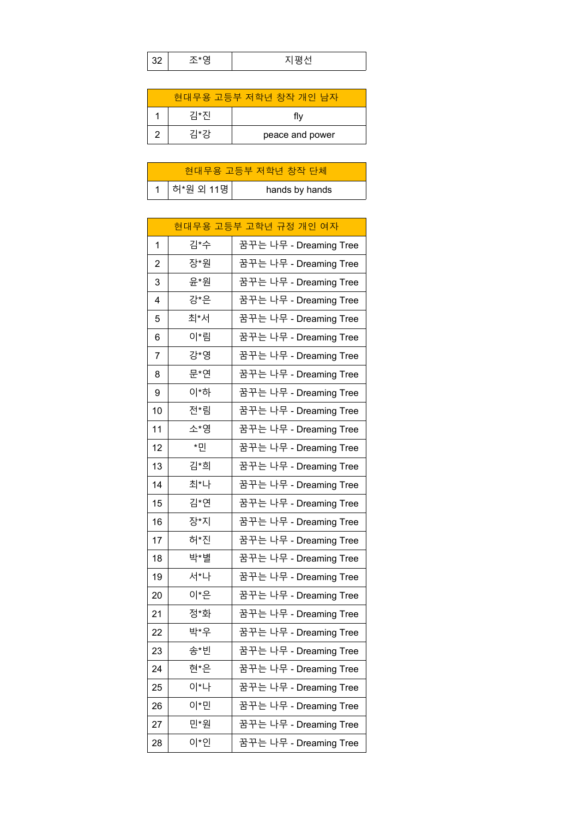| $\sim$ |  | ᆍᆘᆏᆡ<br>– |  |
|--------|--|-----------|--|
|--------|--|-----------|--|

| 현대무용 고등부 저학년 창작 개인 남자 |     |                 |
|-----------------------|-----|-----------------|
|                       | 김*진 | flv             |
|                       | 김*강 | peace and power |

| 현대무용 고등부 저학년 창작 단체 |             |                |
|--------------------|-------------|----------------|
|                    | 1 하*원 외 11명 | hands by hands |

|                |     | 현대무용 고등부 고학년 규정 개인 여자  |
|----------------|-----|------------------------|
| $\mathbf{1}$   | 김*수 | 꿈꾸는 나무 - Dreaming Tree |
| $\overline{c}$ | 장*원 | 꿈꾸는 나무 - Dreaming Tree |
| 3              | 윤*원 | 꿈꾸는 나무 - Dreaming Tree |
| 4              | 강*은 | 꿈꾸는 나무 - Dreaming Tree |
| 5              | 최*서 | 꿈꾸는 나무 - Dreaming Tree |
| 6              | 이*림 | 꿈꾸는 나무 - Dreaming Tree |
| 7              | 강*영 | 꿈꾸는 나무 - Dreaming Tree |
| 8              | 문*연 | 꿈꾸는 나무 - Dreaming Tree |
| 9              | 이*하 | 꿈꾸는 나무 - Dreaming Tree |
| 10             | 전*림 | 꿈꾸는 나무 - Dreaming Tree |
| 11             | 소*영 | 꿈꾸는 나무 - Dreaming Tree |
| 12             | *민  | 꿈꾸는 나무 - Dreaming Tree |
| 13             | 김*희 | 꿈꾸는 나무 - Dreaming Tree |
| 14             | 최*나 | 꿈꾸는 나무 - Dreaming Tree |
| 15             | 김*연 | 꿈꾸는 나무 - Dreaming Tree |
| 16             | 장*지 | 꿈꾸는 나무 - Dreaming Tree |
| 17             | 허*진 | 꿈꾸는 나무 - Dreaming Tree |
| 18             | 박*별 | 꿈꾸는 나무 - Dreaming Tree |
| 19             | 서*나 | 꿈꾸는 나무 - Dreaming Tree |
| 20             | 이*은 | 꿈꾸는 나무 - Dreaming Tree |
| 21             | 정*화 | 꿈꾸는 나무 - Dreaming Tree |
| 22             | 박*우 | 꿈꾸는 나무 - Dreaming Tree |
| 23             | 송*빈 | 꿈꾸는 나무 - Dreaming Tree |
| 24             | 현*은 | 꿈꾸는 나무 - Dreaming Tree |
| 25             | 이*나 | 꿈꾸는 나무 - Dreaming Tree |
| 26             | 이*민 | 꿈꾸는 나무 - Dreaming Tree |
| 27             | 민*원 | 꿈꾸는 나무 - Dreaming Tree |
| 28             | 이*인 | 꿈꾸는 나무 - Dreaming Tree |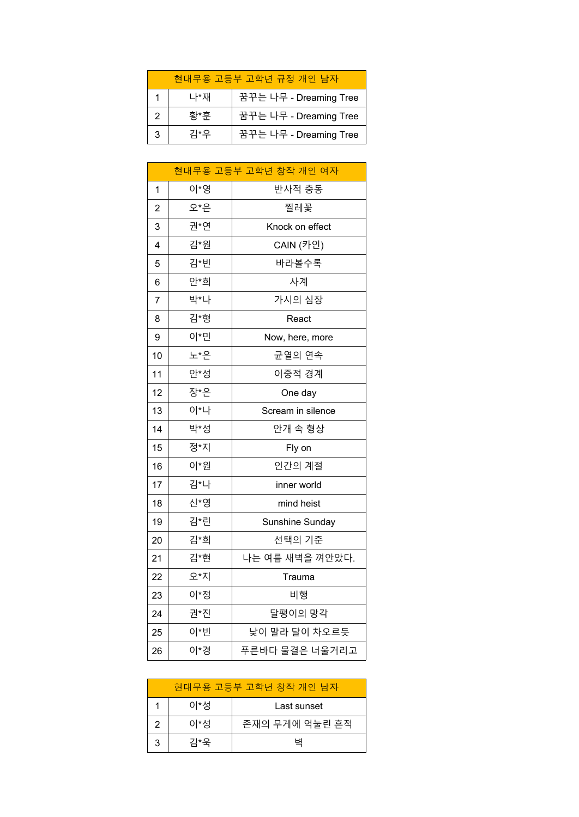| 현대무용 고등부 고학년 규정 개인 남자 |     |                        |
|-----------------------|-----|------------------------|
|                       | 나*재 | 꿈꾸는 나무 - Dreaming Tree |
|                       | 황*후 | 꿈꾸는 나무 - Dreaming Tree |
| 3                     | 김*우 | 꿈꾸는 나무 - Dreaming Tree |

|              |     | 현대무용 고등부 고학년 창작 개인 여자 |
|--------------|-----|-----------------------|
| $\mathbf{1}$ | 이*영 | 반사적 충동                |
| 2            | 오*은 | 찔레꽃                   |
| 3            | 권*연 | Knock on effect       |
| 4            | 김*원 | CAIN (카인)             |
| 5            | 김*빈 | 바라볼수록                 |
| 6            | 안*희 | 사계                    |
| 7            | 박*나 | 가시의 심장                |
| 8            | 김*형 | React                 |
| 9            | 이*민 | Now, here, more       |
| 10           | 노*은 | 균열의 연속                |
| 11           | 안*성 | 이중적 경계                |
| 12           | 장*은 | One day               |
| 13           | 이*나 | Scream in silence     |
| 14           | 박*성 | 안개 속 형상               |
| 15           | 정*지 | Fly on                |
| 16           | 이*원 | 인간의 계절                |
| 17           | 김*나 | inner world           |
| 18           | 신*영 | mind heist            |
| 19           | 김*린 | Sunshine Sunday       |
| 20           | 김*희 | 선택의 기준                |
| 21           | 김*현 | 나는 여름 새벽을 껴안았다.       |
| 22           | 오*지 | Trauma                |
| 23           | 이*정 | 비행                    |
| 24           | 권*진 | 달팽이의 망각               |
| 25           | 이*빈 | 낮이 말라 달이 차오르듯         |
| 26           | 이*경 | 푸른바다 물결은 너울거리고        |

| 현대무용 고등부 고학년 창작 개인 남자 |     |                |
|-----------------------|-----|----------------|
|                       | 이*성 | Last sunset    |
|                       | 이*성 | 존재의 무게에 억눌린 흔적 |
| 3                     | 김*오 |                |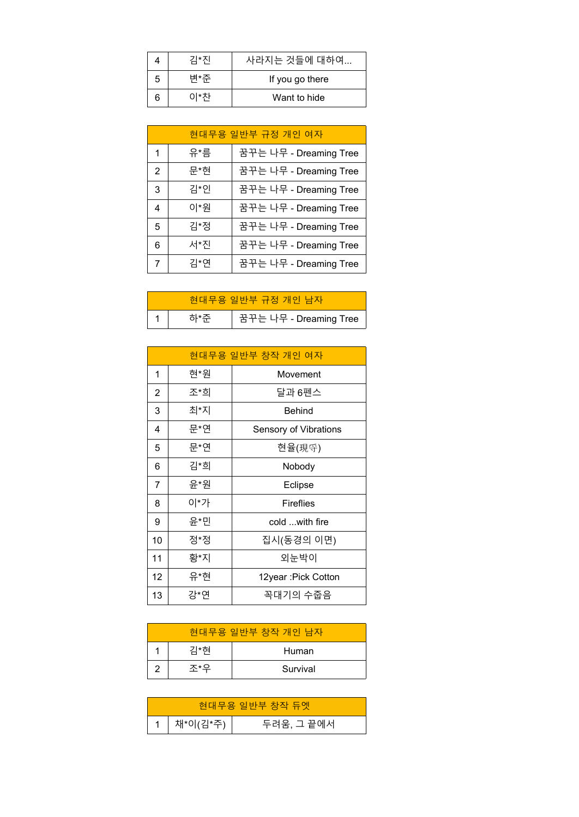|   | 기*지 | 사라지는 것들에 대하여    |
|---|-----|-----------------|
| 5 | 변*쥬 | If you go there |
|   | 이*차 | Want to hide    |

| 현대무용 일반부 규정 개인 여자 |     |                        |
|-------------------|-----|------------------------|
| 1                 | 유*름 | 꿈꾸는 나무 - Dreaming Tree |
| 2                 | 문*현 | 꿈꾸는 나무 - Dreaming Tree |
| 3                 | 김*인 | 꿈꾸는 나무 - Dreaming Tree |
| 4                 | 이*원 | 꿈꾸는 나무 - Dreaming Tree |
| 5                 | 김*정 | 꿈꾸는 나무 - Dreaming Tree |
| 6                 | 서*진 | 꿈꾸는 나무 - Dreaming Tree |
|                   | 김*연 | 꿈꾸는 나무 - Dreaming Tree |

| 현대무용 일반부 규정 개인 남자 |  |                        |
|-------------------|--|------------------------|
|                   |  | 꿈꾸는 나무 - Dreaming Tree |

|                |     | 현대무용 일반부 창작 개인 여자     |
|----------------|-----|-----------------------|
| 1              | 현*원 | Movement              |
| $\overline{2}$ | 조*희 | 달과 6펜스                |
| 3              | 최*지 | <b>Behind</b>         |
| 4              | 문*연 | Sensory of Vibrations |
| 5              | 문*연 | 현율(現寽)                |
| 6              | 김*희 | Nobody                |
| 7              | 윤*원 | Eclipse               |
| 8              | 이*가 | <b>Fireflies</b>      |
| 9              | 윤*민 | cold with fire        |
| 10             | 정*정 | 집시(동경의 이면)            |
| 11             | 황*지 | 외눈박이                  |
| 12             | 유*현 | 12year: Pick Cotton   |
| 13             | 강*연 | 꼭대기의 수줍음              |

| 현대무용 일반부 창작 개인 남자 |     |          |
|-------------------|-----|----------|
|                   | 김*현 | Human    |
|                   | 조*오 | Survival |

|                | 현대무용 일반부 창작 듀엣 |
|----------------|----------------|
| 1 │ 채*이(김*주) │ | 두려움, 그 끝에서     |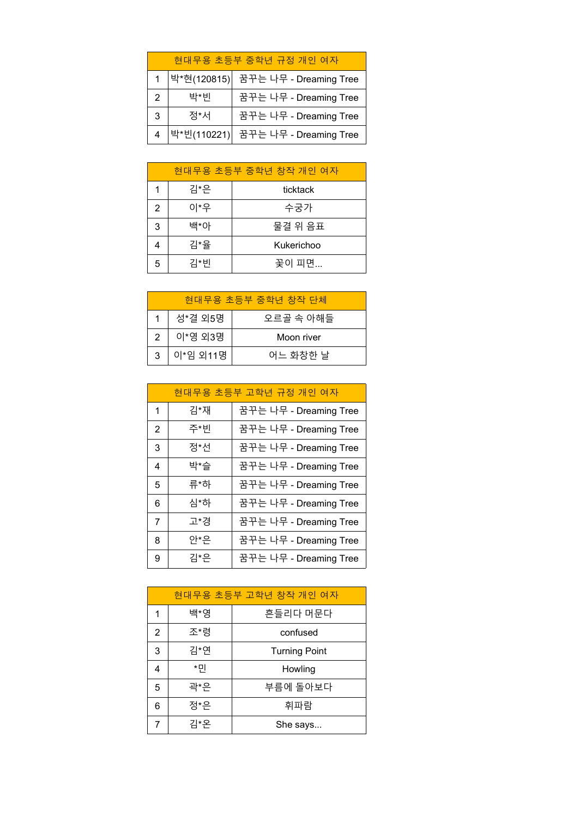| 현대무용 초등부 중학년 규정 개인 여자 |     |                                      |
|-----------------------|-----|--------------------------------------|
|                       |     | │박*현(120815)│ 꿈꾸는 나무 - Dreaming Tree |
| 2                     | 박*빈 | 꿈꾸는 나무 - Dreaming Tree               |
| 3                     | 정*서 | 꿈꾸는 나무 - Dreaming Tree               |
|                       |     | 박*빈(110221) 꿈꾸는 나무 - Dreaming Tree   |

| 현대무용 초등부 중학년 창작 개인 여자 |     |            |
|-----------------------|-----|------------|
|                       | 김*은 | ticktack   |
| 2                     | 이*우 | 수궁가        |
| 3                     | 백*아 | 물결 위 음표    |
|                       | 김*율 | Kukerichoo |
| 5                     | 김*빈 | 꽃이 피면      |

| 현대무용 초등부 중학년 창작 단체 |          |            |
|--------------------|----------|------------|
|                    | 성*결 외5명  | 오르골 속 아해들  |
| 2                  | 이*영 외3명  | Moon river |
| 3                  | 이*임 외11명 | 어느 화창한 날   |

| 현대무용 초등부 고학년 규정 개인 여자 |     |                        |
|-----------------------|-----|------------------------|
| 1                     | 김*재 | 꿈꾸는 나무 - Dreaming Tree |
| 2                     | 주*빈 | 꿈꾸는 나무 - Dreaming Tree |
| 3                     | 정*선 | 꿈꾸는 나무 - Dreaming Tree |
| 4                     | 박*슬 | 꿈꾸는 나무 - Dreaming Tree |
| 5                     | 류*하 | 꿈꾸는 나무 - Dreaming Tree |
| 6                     | 심*하 | 꿈꾸는 나무 - Dreaming Tree |
| $\overline{7}$        | 고*경 | 꿈꾸는 나무 - Dreaming Tree |
| 8                     | 아*은 | 꿈꾸는 나무 - Dreaming Tree |
| 9                     | 김*은 | 꿈꾸는 나무 - Dreaming Tree |

| 현대무용 초등부 고학년 창작 개인 여자 |     |                      |
|-----------------------|-----|----------------------|
| 1                     | 백*영 | 흔들리다 머문다             |
| 2                     | 조*령 | confused             |
| 3                     | 김*연 | <b>Turning Point</b> |
| 4                     | *민  | Howling              |
| 5                     | 곽*은 | 부름에 돌아보다             |
| 6                     | 정*은 | 휘파람                  |
|                       | 김*온 | She says             |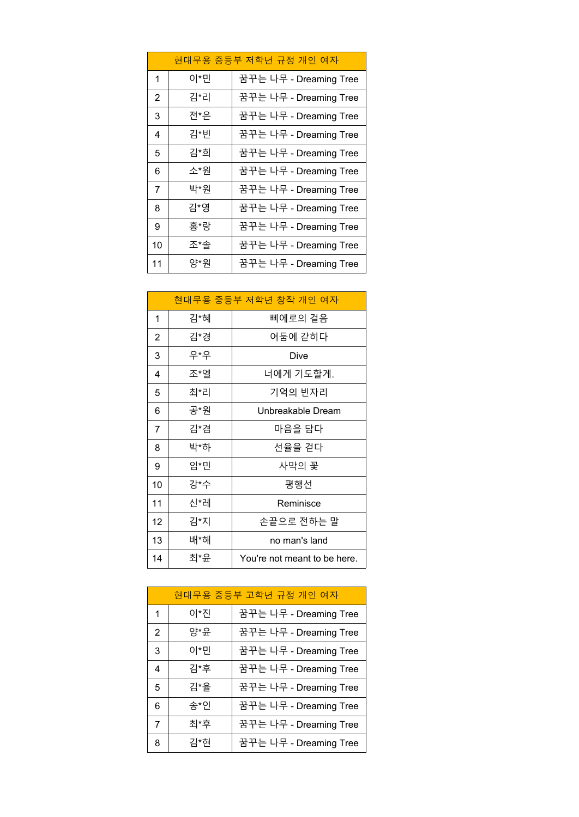| 현대무용 중등부 저학년 규정 개인 여자 |     |                        |
|-----------------------|-----|------------------------|
| 1                     | 이*민 | 꿈꾸는 나무 - Dreaming Tree |
| 2                     | 김*리 | 꿈꾸는 나무 - Dreaming Tree |
| 3                     | 전*은 | 꿈꾸는 나무 - Dreaming Tree |
| 4                     | 김*빈 | 꿈꾸는 나무 - Dreaming Tree |
| 5                     | 김*희 | 꿈꾸는 나무 - Dreaming Tree |
| 6                     | 소*원 | 꿈꾸는 나무 - Dreaming Tree |
| 7                     | 박*원 | 꿈꾸는 나무 - Dreaming Tree |
| 8                     | 김*영 | 꿈꾸는 나무 - Dreaming Tree |
| 9                     | 홍*랑 | 꿈꾸는 나무 - Dreaming Tree |
| 10                    | 조*솔 | 꿈꾸는 나무 - Dreaming Tree |
| 11                    | 양*워 | 꿈꾸는 나무 - Dreaming Tree |

| 현대무용 중등부 저학년 창작 개인 여자 |     |                              |
|-----------------------|-----|------------------------------|
| 1                     | 김*혜 | 삐에로의 걸음                      |
| $\overline{2}$        | 김*경 | 어둠에 갇히다                      |
| 3                     | 우*우 | Dive                         |
| 4                     | 조*엘 | 너에게 기도할게.                    |
| 5                     | 최*리 | 기억의 빈자리                      |
| 6                     | 공*원 | Unbreakable Dream            |
| 7                     | 김*겸 | 마음을 담다                       |
| 8                     | 박*하 | 선율을 걷다                       |
| 9                     | 임*민 | 사막의 꽃                        |
| 10                    | 강*수 | 평행선                          |
| 11                    | 신*레 | Reminisce                    |
| 12                    | 김*지 | 손끝으로 전하는 말                   |
| 13                    | 배*해 | no man's land                |
| 14                    | 최*윤 | You're not meant to be here. |

|                | 현대무용 중등부 고학년 규정 개인 여자 |                        |
|----------------|-----------------------|------------------------|
| 1              | 이*진                   | 꿈꾸는 나무 - Dreaming Tree |
| $\overline{2}$ | 양*윤                   | 꿈꾸는 나무 - Dreaming Tree |
| 3              | 이*민                   | 꿈꾸는 나무 - Dreaming Tree |
| 4              | 김*후                   | 꿈꾸는 나무 - Dreaming Tree |
| 5              | 김*율                   | 꿈꾸는 나무 - Dreaming Tree |
| 6              | 송*인                   | 꿈꾸는 나무 - Dreaming Tree |
| 7              | 최*후                   | 꿈꾸는 나무 - Dreaming Tree |
| 8              | 김*현                   | 꿈꾸는 나무 - Dreaming Tree |